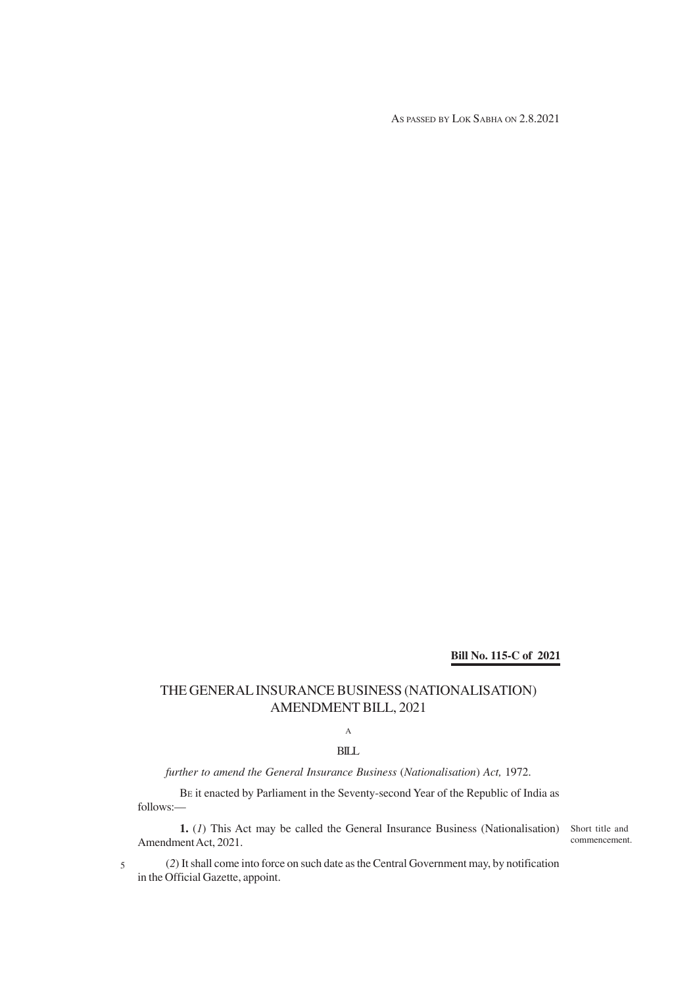AS PASSED BY LOK SABHA ON 2.8.2021

## **Bill No. 115-C of 2021**

## THE GENERAL INSURANCE BUSINESS (NATIONALISATION) AMENDMENT BILL, 2021

## A

## BILL

*further to amend the General Insurance Business* (*Nationalisation*) *Act,* 1972.

BE it enacted by Parliament in the Seventy-second Year of the Republic of India as follows:—

**1.** (*1*) This Act may be called the General Insurance Business (Nationalisation) Short title and Amendment Act, 2021.

commencement.

(*2*) It shall come into force on such date as the Central Government may, by notification in the Official Gazette, appoint.

5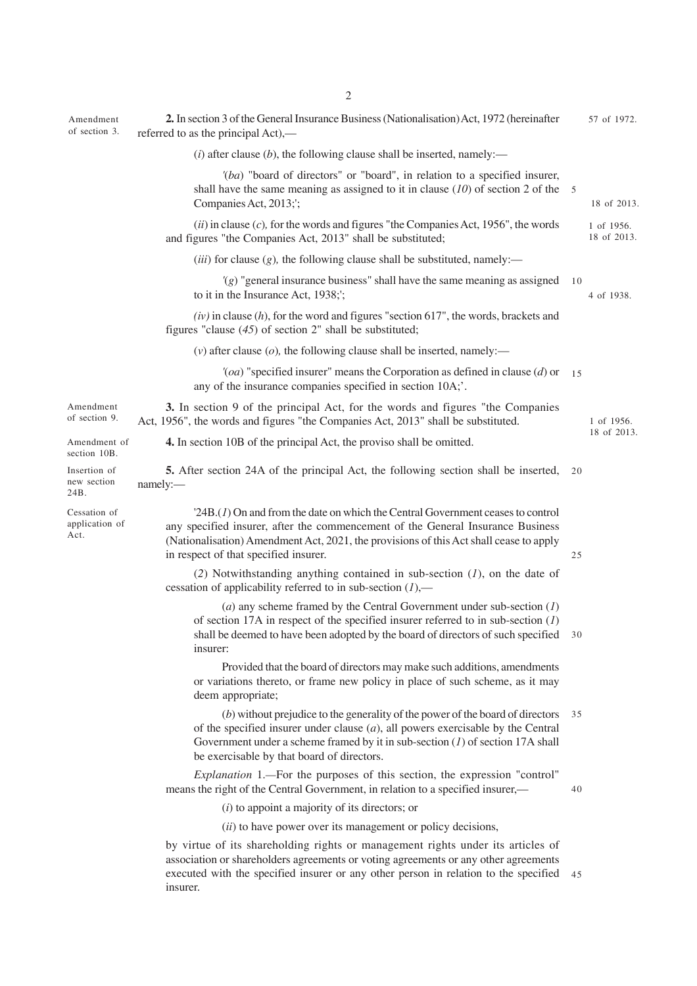2 Amendment of section 3. 57 of 1972. 1 of 1956. 18 of 2013. 4 of 1938. Amendment of section 9. **2.** In section 3 of the General Insurance Business (Nationalisation) Act, 1972 (hereinafter referred to as the principal Act),—  $(i)$  after clause  $(b)$ , the following clause shall be inserted, namely:— *'*(*ba*) "board of directors" or "board", in relation to a specified insurer, shall have the same meaning as assigned to it in clause (*10*) of section 2 of the 5 Companies Act, 2013;';  $(iii)$  in clause  $(c)$ , for the words and figures "the Companies Act, 1956", the words and figures "the Companies Act, 2013" shall be substituted;  $(iii)$  for clause  $(g)$ , the following clause shall be substituted, namely:— *'*(*g*) "general insurance business" shall have the same meaning as assigned 10 to it in the Insurance Act, 1938;'; *(iv)* in clause (*h*), for the word and figures "section 617", the words, brackets and figures "clause (*45*) of section 2" shall be substituted; (*v*) after clause (*o*)*,* the following clause shall be inserted, namely:— *'*(*oa*) "specified insurer" means the Corporation as defined in clause (*d*) or 15 any of the insurance companies specified in section 10A;'. **3.** In section 9 of the principal Act, for the words and figures "the Companies Act, 1956", the words and figures "the Companies Act, 2013" shall be substituted. **4.** In section 10B of the principal Act, the proviso shall be omitted. **5.** After section 24A of the principal Act, the following section shall be inserted, 20 namely:— '24B.(*1*) On and from the date on which the Central Government ceases to control any specified insurer, after the commencement of the General Insurance Business (Nationalisation) Amendment Act, 2021, the provisions of this Act shall cease to apply in respect of that specified insurer. (*2*) Notwithstanding anything contained in sub-section (*1*), on the date of cessation of applicability referred to in sub-section (*1*),— (*a*) any scheme framed by the Central Government under sub-section (*1*) of section 17A in respect of the specified insurer referred to in sub-section (*1*) shall be deemed to have been adopted by the board of directors of such specified 30 insurer: Provided that the board of directors may make such additions, amendments or variations thereto, or frame new policy in place of such scheme, as it may deem appropriate; (*b*) without prejudice to the generality of the power of the board of directors 35 of the specified insurer under clause (*a*), all powers exercisable by the Central Government under a scheme framed by it in sub-section (*1*) of section 17A shall be exercisable by that board of directors. *Explanation* 1.*—*For the purposes of this section, the expression "control" means the right of the Central Government, in relation to a specified insurer,— (*i*) to appoint a majority of its directors; or (*ii*) to have power over its management or policy decisions, by virtue of its shareholding rights or management rights under its articles of association or shareholders agreements or voting agreements or any other agreements executed with the specified insurer or any other person in relation to the specified 45insurer. 18 of 2013. Amendment of section 10B. Insertion of new section 24B. 1 of 1956. 18 of 2013. Cessation of application of Act. 25 40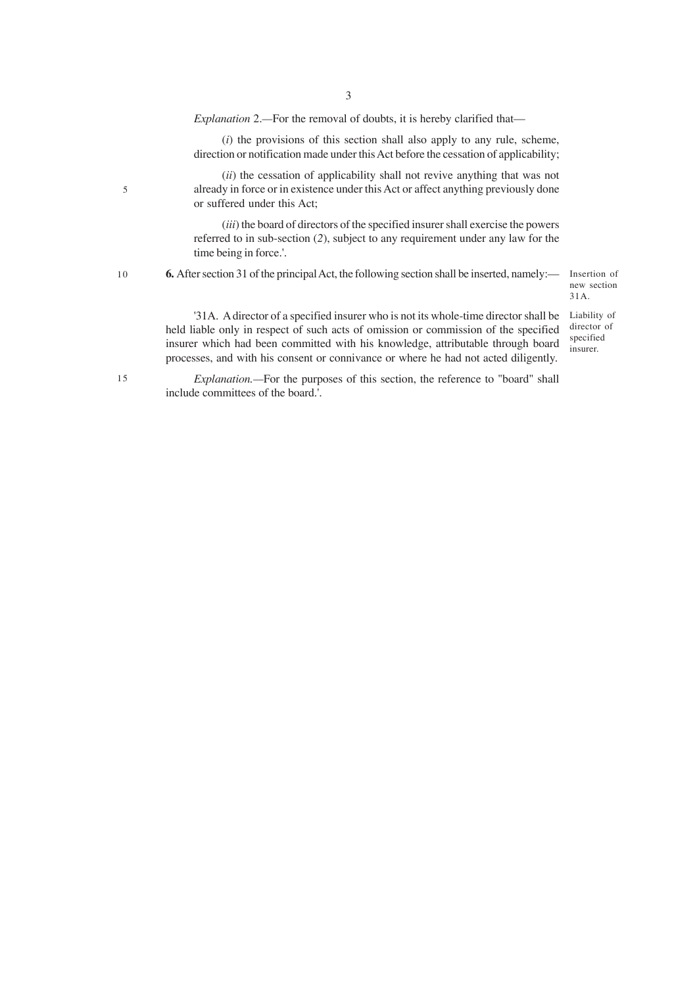*Explanation* 2.*—*For the removal of doubts, it is hereby clarified that—

(*i*) the provisions of this section shall also apply to any rule, scheme, direction or notification made under this Act before the cessation of applicability;

(*ii*) the cessation of applicability shall not revive anything that was not already in force or in existence under this Act or affect anything previously done or suffered under this Act;

(*iii*) the board of directors of the specified insurer shall exercise the powers referred to in sub-section (*2*), subject to any requirement under any law for the time being in force.'.

10

5

**6.** After section 31 of the principal Act, the following section shall be inserted, namely:—

Insertion of new section 31A.

director of specified insurer.

'31A. A director of a specified insurer who is not its whole-time director shall be Liability of held liable only in respect of such acts of omission or commission of the specified insurer which had been committed with his knowledge, attributable through board processes, and with his consent or connivance or where he had not acted diligently.

*Explanation.—*For the purposes of this section, the reference to "board" shall

15

include committees of the board.'.